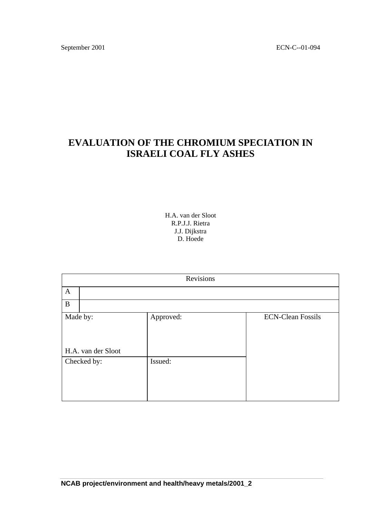September 2001 ECN-C--01-094

# **EVALUATION OF THE CHROMIUM SPECIATION IN ISRAELI COAL FLY ASHES**

H.A. van der Sloot R.P.J.J. Rietra J.J. Dijkstra D. Hoede

| Revisions                      |           |                          |  |  |
|--------------------------------|-----------|--------------------------|--|--|
| $\mathbf{A}$                   |           |                          |  |  |
| B                              |           |                          |  |  |
| Made by:<br>H.A. van der Sloot | Approved: | <b>ECN-Clean Fossils</b> |  |  |
| Checked by:                    | Issued:   |                          |  |  |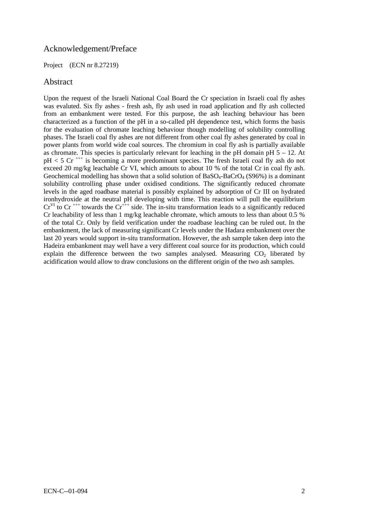# Acknowledgement/Preface

#### Project (ECN nr 8.27219)

### Abstract

Upon the request of the Israeli National Coal Board the Cr speciation in Israeli coal fly ashes was evaluted. Six fly ashes - fresh ash, fly ash used in road application and fly ash collected from an embankment were tested. For this purpose, the ash leaching behaviour has been characterized as a function of the pH in a so-called pH dependence test, which forms the basis for the evaluation of chromate leaching behaviour though modelling of solubility controlling phases. The Israeli coal fly ashes are not different from other coal fly ashes generated by coal in power plants from world wide coal sources. The chromium in coal fly ash is partially available as chromate. This species is particularly relevant for leaching in the pH domain pH  $5 - 12$ . At  $pH < 5$  Cr<sup> $++$ </sup> is becoming a more predominant species. The fresh Israeli coal fly ash do not exceed 20 mg/kg leachable Cr VI, which amouts to about 10 % of the total Cr in coal fly ash. Geochemical modelling has shown that a solid solution of  $BaSO<sub>4</sub>-BaCrO<sub>4</sub> (S96%)$  is a dominant solubility controlling phase under oxidised conditions. The significantly reduced chromate levels in the aged roadbase material is possibly explained by adsorption of Cr III on hydrated ironhydroxide at the neutral pH developing with time. This reaction will pull the equilibrium  $Cr^{VI}$  to  $Cr^{+++}$  towards the  $Cr^{+++}$  side. The in-situ transformation leads to a significantly reduced Cr leachability of less than 1 mg/kg leachable chromate, which amouts to less than about 0.5 % of the total Cr. Only by field verification under the roadbase leaching can be ruled out. In the embankment, the lack of measuring significant Cr levels under the Hadara embankment over the last 20 years would support in-situ transformation. However, the ash sample taken deep into the Hadeira embankment may well have a very different coal source for its production, which could explain the difference between the two samples analysed. Measuring  $CO<sub>2</sub>$  liberated by acidification would allow to draw conclusions on the different origin of the two ash samples.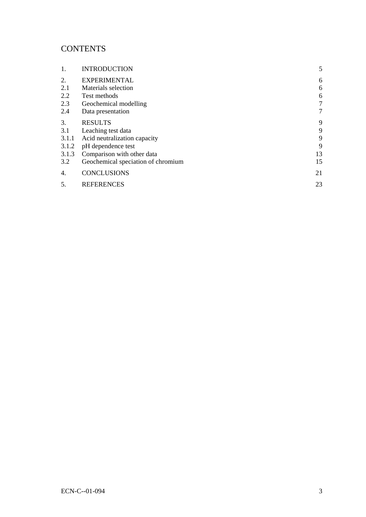# **CONTENTS**

| 1.    | <b>INTRODUCTION</b>                | 5  |
|-------|------------------------------------|----|
| 2.    | <b>EXPERIMENTAL</b>                | 6  |
| 2.1   | Materials selection                | 6  |
| 2.2   | Test methods                       | 6  |
| 2.3   | Geochemical modelling              | 7  |
| 2.4   | Data presentation                  | 7  |
| 3.    | <b>RESULTS</b>                     | 9  |
| 3.1   | Leaching test data                 | 9  |
| 3.1.1 | Acid neutralization capacity       | 9  |
| 3.1.2 | pH dependence test                 | 9  |
| 3.1.3 | Comparison with other data         | 13 |
| 3.2   | Geochemical speciation of chromium | 15 |
| 4.    | <b>CONCLUSIONS</b>                 | 21 |
| .5.   | <b>REFERENCES</b>                  | 23 |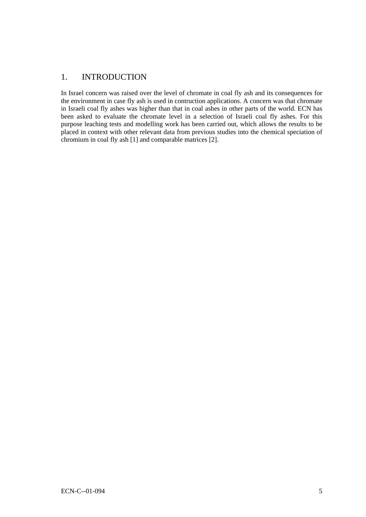# <span id="page-4-0"></span>1. INTRODUCTION

In Israel concern was raised over the level of chromate in coal fly ash and its consequences for the environment in case fly ash is used in contruction applications. A concern was that chromate in Israeli coal fly ashes was higher than that in coal ashes in other parts of the world. ECN has been asked to evaluate the chromate level in a selection of Israeli coal fly ashes. For this purpose leaching tests and modelling work has been carried out, which allows the results to be placed in context with other relevant data from previous studies into the chemical speciation of chromium in coal fly ash [1] and comparable matrices [2].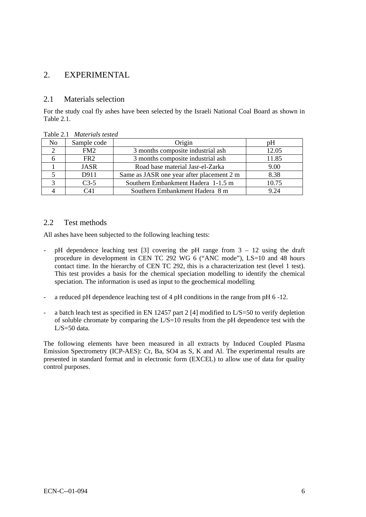# <span id="page-5-0"></span>2. EXPERIMENTAL

### 2.1 Materials selection

For the study coal fly ashes have been selected by the Israeli National Coal Board as shown in Table 2.1.

| No . | Sample code     | Origin                                    | pΗ    |
|------|-----------------|-------------------------------------------|-------|
|      | FM2             | 3 months composite industrial ash         | 12.05 |
|      | FR <sub>2</sub> | 3 months composite industrial ash         | 11.85 |
|      | <b>JASR</b>     | Road base material Jasr-el-Zarka          | 9.00  |
|      | D911            | Same as JASR one year after placement 2 m | 8.38  |
|      | $C3-5$          | Southern Embankment Hadera 1-1.5 m        | 10.75 |
|      | C41             | Southern Embankment Hadera 8 m            | 924   |

Table 2.1 *Materials tested* 

#### 2.2 Test methods

All ashes have been subjected to the following leaching tests:

- pH dependence leaching test [3] covering the pH range from 3 12 using the draft procedure in development in CEN TC 292 WG 6 ("ANC mode"), LS=10 and 48 hours contact time. In the hierarchy of CEN TC 292, this is a characterization test (level 1 test). This test provides a basis for the chemical speciation modelling to identify the chemical speciation. The information is used as input to the geochemical modelling
- a reduced pH dependence leaching test of 4 pH conditions in the range from pH 6 -12.
- a batch leach test as specified in EN 12457 part 2 [4] modified to L/S=50 to verify depletion of soluble chromate by comparing the  $L/S=10$  results from the pH dependence test with the  $L/S = 50$  data.

The following elements have been measured in all extracts by Induced Coupled Plasma Emission Spectrometry (ICP-AES): Cr, Ba, SO4 as S, K and Al. The experimental results are presented in standard format and in electronic form (EXCEL) to allow use of data for quality control purposes.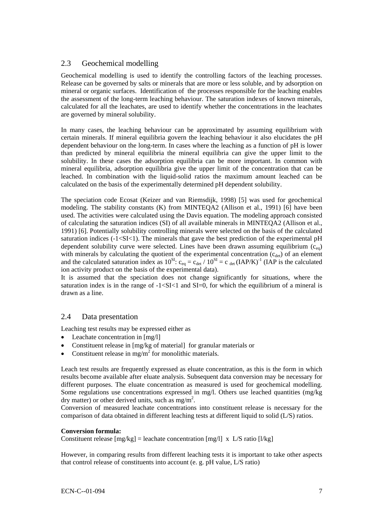## <span id="page-6-0"></span>2.3 Geochemical modelling

Geochemical modelling is used to identify the controlling factors of the leaching processes. Release can be governed by salts or minerals that are more or less soluble, and by adsorption on mineral or organic surfaces. Identification of the processes responsible for the leaching enables the assessment of the long-term leaching behaviour. The saturation indexes of known minerals, calculated for all the leachates, are used to identify whether the concentrations in the leachates are governed by mineral solubility.

In many cases, the leaching behaviour can be approximated by assuming equilibrium with certain minerals. If mineral equilibria govern the leaching behaviour it also elucidates the pH dependent behaviour on the long-term. In cases where the leaching as a function of pH is lower than predicted by mineral equilibria the mineral equilibria can give the upper limit to the solubility. In these cases the adsorption equilibria can be more important. In common with mineral equilibria, adsorption equilibria give the upper limit of the concentration that can be leached. In combination with the liquid-solid ratios the maximum amount leached can be calculated on the basis of the experimentally determined pH dependent solubility.

The speciation code Ecosat (Keizer and van Riemsdijk, 1998) [5] was used for geochemical modeling. The stability constants (K) from MINTEQA2 (Allison et al., 1991) [6] have been used. The activities were calculated using the Davis equation. The modeling approach consisted of calculating the saturation indices (SI) of all available minerals in MINTEQA2 (Allison et al., 1991) [6]. Potentially solubility controlling minerals were selected on the basis of the calculated saturation indices  $(-1 < S<sub>I</sub> < 1)$ . The minerals that gave the best prediction of the experimental pH dependent solubility curve were selected. Lines have been drawn assuming equilibrium  $(c_{eq})$ with minerals by calculating the quotient of the experimental concentration  $(c_{det})$  of an element and the calculated saturation index as  $10^{SI}$ :  $c_{eq} = c_{det}/10^{SI} = c_{det}(IAP/K)^{-1}$  (IAP is the calculated ion activity product on the basis of the experimental data).

It is assumed that the speciation does not change significantly for situations, where the saturation index is in the range of  $-1 < S<sub>I</sub> < 1$  and  $S<sub>I</sub> = 0$ , for which the equilibrium of a mineral is drawn as a line.

### 2.4 Data presentation

Leaching test results may be expressed either as

- Leachate concentration in  $[mg/l]$
- Constituent release in [mg/kg of material] for granular materials or
- Constituent release in mg/m<sup>2</sup> for monolithic materials.

Leach test results are frequently expressed as eluate concentration, as this is the form in which results become available after eluate analysis. Subsequent data conversion may be necessary for different purposes. The eluate concentration as measured is used for geochemical modelling. Some regulations use concentrations expressed in mg/l. Others use leached quantities (mg/kg dry matter) or other derived units, such as  $mg/m^2$ .

Conversion of measured leachate concentrations into constituent release is necessary for the comparison of data obtained in different leaching tests at different liquid to solid (L/S) ratios.

#### **Conversion formula:**

Constituent release  $[mg/kg] =$  leachate concentration  $[mg/l]$  x L/S ratio  $[l/kg]$ 

However, in comparing results from different leaching tests it is important to take other aspects that control release of constituents into account (e. g. pH value, L/S ratio)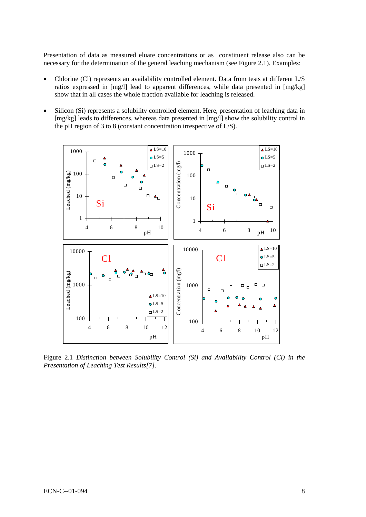Presentation of data as measured eluate concentrations or as constituent release also can be necessary for the determination of the general leaching mechanism (see Figure 2.1). Examples:

- Chlorine (Cl) represents an availability controlled element. Data from tests at different L/S ratios expressed in [mg/l] lead to apparent differences, while data presented in [mg/kg] show that in all cases the whole fraction available for leaching is released.
- Silicon (Si) represents a solubility controlled element. Here, presentation of leaching data in [mg/kg] leads to differences, whereas data presented in [mg/l] show the solubility control in the pH region of 3 to 8 (constant concentration irrespective of L/S).



Figure 2.1 *Distinction between Solubility Control (Si) and Availability Control (Cl) in the Presentation of Leaching Test Results[7].*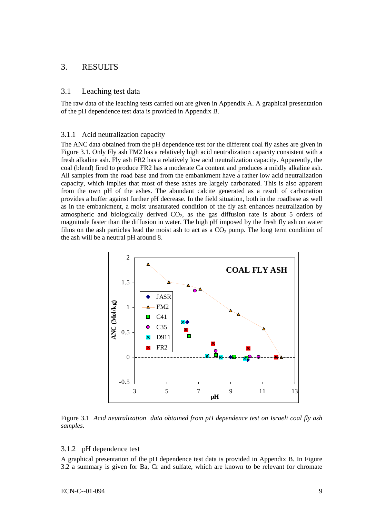## <span id="page-8-0"></span>3. RESULTS

#### 3.1 Leaching test data

The raw data of the leaching tests carried out are given in Appendix A. A graphical presentation of the pH dependence test data is provided in Appendix B.

#### 3.1.1 Acid neutralization capacity

The ANC data obtained from the pH dependence test for the different coal fly ashes are given in Figure 3.1. Only Fly ash FM2 has a relatively high acid neutralization capacity consistent with a fresh alkaline ash. Fly ash FR2 has a relatively low acid neutralization capacity. Apparently, the coal (blend) fired to produce FR2 has a moderate Ca content and produces a mildly alkaline ash. All samples from the road base and from the embankment have a rather low acid neutralization capacity, which implies that most of these ashes are largely carbonated. This is also apparent from the own pH of the ashes. The abundant calcite generated as a result of carbonation provides a buffer against further pH decrease. In the field situation, both in the roadbase as well as in the embankment, a moist unsaturated condition of the fly ash enhances neutralization by atmospheric and biologically derived  $CO<sub>2</sub>$ , as the gas diffusion rate is about 5 orders of magnitude faster than the diffusion in water. The high pH imposed by the fresh fly ash on water films on the ash particles lead the moist ash to act as a  $CO<sub>2</sub>$  pump. The long term condition of the ash will be a neutral pH around 8.



Figure 3.1 *Acid neutralization data obtained from pH dependence test on Israeli coal fly ash samples.* 

#### 3.1.2 pH dependence test

A graphical presentation of the pH dependence test data is provided in Appendix B. In Figure 3.2 a summary is given for Ba, Cr and sulfate, which are known to be relevant for chromate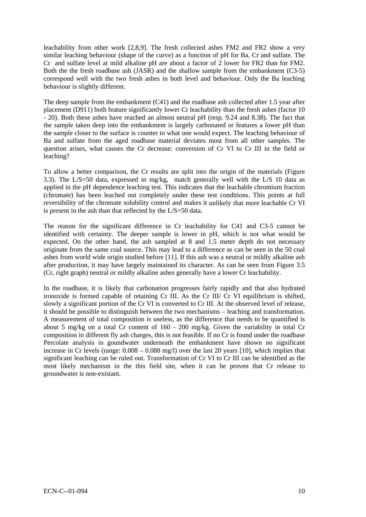leachability from other work [2,8,9]. The fresh collected ashes FM2 and FR2 show a very similar leaching behaviour (shape of the curve) as a function of pH for Ba, Cr and sulfate. The Cr and sulfate level at mild alkaline pH are about a factor of 2 lower for FR2 than for FM2. Both the the fresh roadbase ash (JASR) and the shallow sample from the embankment (C3-5) correspond well with the two fresh ashes in both level and behaviour. Only the Ba leaching behaviour is slightly different.

question arises, what causes the Cr decrease: conversion of Cr VI to Cr III in the field or leaching? The deep sample from the embankment (C41) and the roadbase ash collected after 1.5 year after placement (D911) both feature significantly lower Cr leachability than the fresh ashes (factor 10 - 20). Both these ashes have reached an almost neutral pH (resp. 9.24 and 8.38). The fact that the sample taken deep into the embankment is largely carbonated or features a lower pH than the sample closer to the surface is counter to what one would expect. The leaching behaviour of Ba and sulfate from the aged roadbase material deviates most from all other samples. The

reversibility of the chromate solubility control and makes it unlikely that more leachable Cr VI is present in the ash than that reflected by the  $L/S = 50$  data. To allow a better comparison, the Cr results are split into the origin of the materials (Figure 3.3). The L/S=50 data, expressed in mg/kg, match generally well with the L/S 10 data as applied in the pH dependence leaching test. This indicates that the leachable chromium fraction (chromate) has been leached out completely under these test conditions. This points at full

after production, it may have largely maintained its character. As can be seen from Figure 3.5 (Cr, right graph) neutral or mildly alkaline ashes generally have a lower Cr leachability. The reason for the significant difference in Cr leachability for C41 and C3-5 cannot be identified with certainty. The deeper sample is lower in pH, which is not what would be expected. On the other hand, the ash sampled at 8 and 1.5 meter depth do not necessary originate from the same coal source. This may lead to a difference as can be seen in the 50 coal ashes from world wide origin studied before [11]. If this ash was a neutral or mildly alkaline ash

most likely mechanism in the this field site, when it can be proven that Cr release to groundwater is non-existant. In the roadbase, it is likely that carbonation progresses fairly rapidly and that also hydrated ironoxide is formed capable of retaining Cr III. As the Cr III/ Cr VI equilibrium is shifted, slowly a significant portion of the Cr VI is converted to Cr III. At the observed level of release, it should be possible to distinguish between the two mechanisms – leaching and transformation. A measurement of total composition is useless, as the difference that needs to be quantified is about 5 mg/kg on a total Cr content of 160 - 200 mg/kg. Given the variability in total Cr composition in different fly ash charges, this is not feasible. If no Cr is found under the roadbase Percolate analysis in goundwater underneath the embankment have shown no significant increase in Cr levels (range: 0.008 – 0.088 mg/l) over the last 20 years [10], which implies that significant leaching can be ruled out. Transformation of Cr VI to Cr III can be identified as the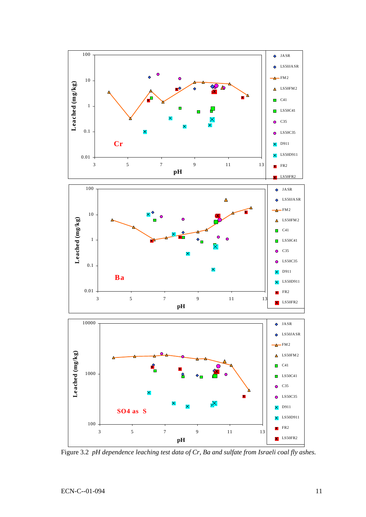

Figure 3.2 *pH dependence leaching test data of Cr, Ba and sulfate from Israeli coal fly ashes*.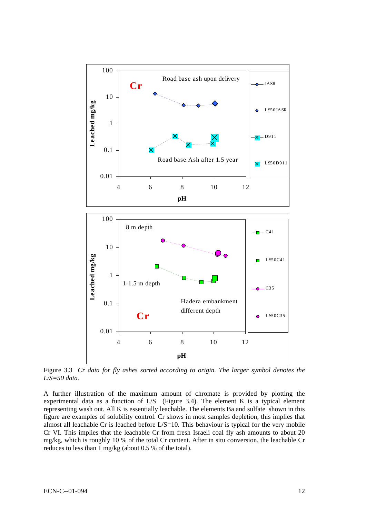

Figure 3.3 *Cr data for fly ashes sorted according to origin. The larger symbol denotes the L/S=50 data.* 

A further illustration of the maximum amount of chromate is provided by plotting the experimental data as a function of L/S (Figure 3.4). The element K is a typical element representing wash out. All K is essentially leachable. The elements Ba and sulfate shown in this figure are examples of solubility control. Cr shows in most samples depletion, this implies that almost all leachable Cr is leached before L/S=10. This behaviour is typical for the very mobile Cr VI. This implies that the leachable Cr from fresh Israeli coal fly ash amounts to about 20 mg/kg, which is roughly 10 % of the total Cr content. After in situ conversion, the leachable Cr reduces to less than 1 mg/kg (about 0.5 % of the total).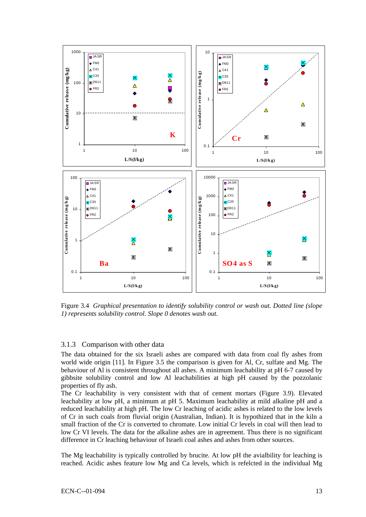<span id="page-12-0"></span>

Figure 3.4 *Graphical presentation to identify solubility control or wash out. Dotted line (slope 1) represents solubility control. Slope 0 denotes wash out.* 

#### 3.1.3 Comparison with other data

The data obtained for the six Israeli ashes are compared with data from coal fly ashes from world wide origin [11]. In Figure 3.5 the comparison is given for Al, Cr, sulfate and Mg. The behaviour of Al is consistent throughout all ashes. A minimum leachability at pH 6-7 caused by gibbsite solubility control and low Al leachabilities at high pH caused by the pozzolanic properties of fly ash.

The Cr leachability is very consistent with that of cement mortars (Figure 3.9). Elevated leachability at low pH, a minimum at pH 5. Maximum leachability at mild alkaline pH and a reduced leachability at high pH. The low Cr leaching of acidic ashes is related to the low levels of Cr in such coals from fluvial origin (Australian, Indian). It is hypothized that in the kiln a small fraction of the Cr is converted to chromate. Low initial Cr levels in coal will then lead to low Cr VI levels. The data for the alkaline ashes are in agreement. Thus there is no significant difference in Cr leaching behaviour of Israeli coal ashes and ashes from other sources.

The Mg leachability is typically controlled by brucite. At low pH the avialbility for leaching is reached. Acidic ashes feature low Mg and Ca levels, which is refelcted in the individual Mg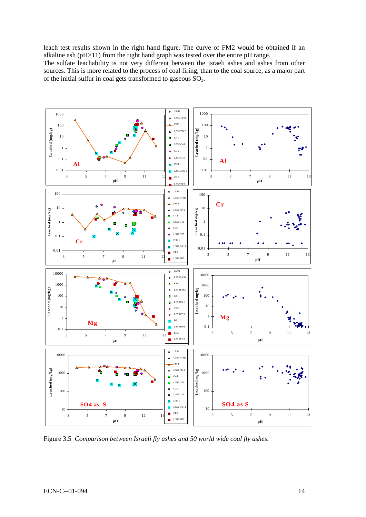leach test results shown in the right hand figure. The curve of FM2 would be obtained if an alkaline ash (pH>11) from the right hand graph was tested over the entire pH range.

The sulfate leachability is not very different between the Israeli ashes and ashes from other sources. This is more related to the process of coal firing, than to the coal source, as a major part of the initial sulfur in coal gets transformed to gaseous  $SO_3$ .



Figure 3.5 *Comparison between Israeli fly ashes and 50 world wide coal fly ashes.*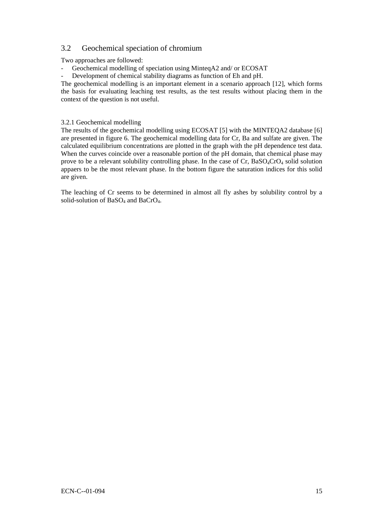# <span id="page-14-0"></span>3.2 Geochemical speciation of chromium

Two approaches are followed:

Geochemical modelling of speciation using MinteqA2 and/ or ECOSAT

Development of chemical stability diagrams as function of Eh and pH.

The geochemical modelling is an important element in a scenario approach [12], which forms the basis for evaluating leaching test results, as the test results without placing them in the context of the question is not useful.

#### 3.2.1 Geochemical modelling

The results of the geochemical modelling using ECOSAT [5] with the MINTEQA2 database [6] are presented in figure 6. The geochemical modelling data for Cr, Ba and sulfate are given. The calculated equilibrium concentrations are plotted in the graph with the pH dependence test data. When the curves coincide over a reasonable portion of the pH domain, that chemical phase may prove to be a relevant solubility controlling phase. In the case of  $Cr$ ,  $BaSO<sub>4</sub>CrO<sub>4</sub>$  solid solution appaers to be the most relevant phase. In the bottom figure the saturation indices for this solid are given.

The leaching of Cr seems to be determined in almost all fly ashes by solubility control by a solid-solution of BaSO<sub>4</sub> and BaCrO<sub>4</sub>.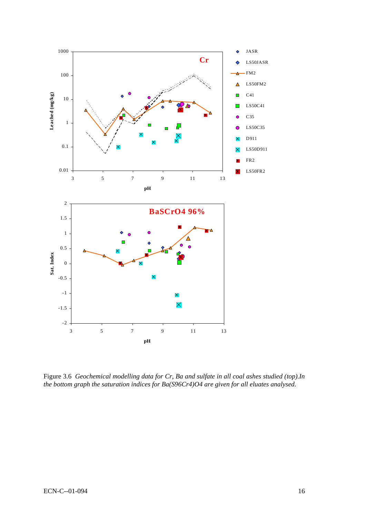

Figure 3.6 *Geochemical modelling data for Cr, Ba and sulfate in all coal ashes studied (top).In the bottom graph the saturation indices for Ba(S96Cr4)O4 are given for all eluates analysed.*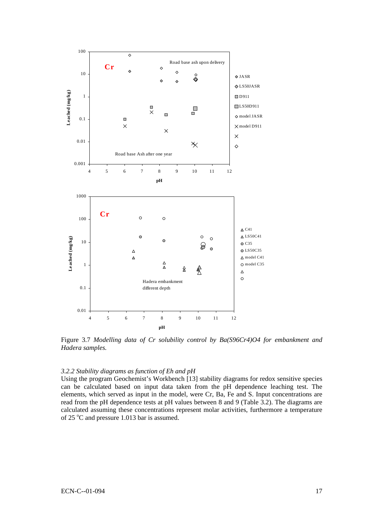

Figure 3.7 *Modelling data of Cr solubility control by Ba(S96Cr4)O4 for embankment and Hadera samples.* 

#### *3.2.2 Stability diagrams as function of Eh and pH*

Using the program Geochemist's Workbench [13] stability diagrams for redox sensitive species can be calculated based on input data taken from the pH dependence leaching test. The elements, which served as input in the model, were Cr, Ba, Fe and S. Input concentrations are read from the pH dependence tests at pH values between 8 and 9 (Table 3.2). The diagrams are calculated assuming these concentrations represent molar activities, furthermore a temperature of 25  $\mathrm{^{\circ}C}$  and pressure 1.013 bar is assumed.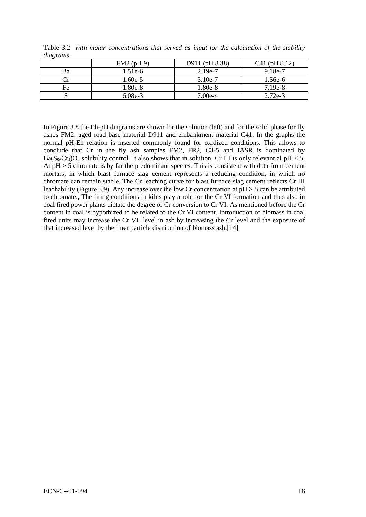| $\cdots$ |              |                |                 |  |  |  |
|----------|--------------|----------------|-----------------|--|--|--|
|          | $FM2$ (pH 9) | D911 (pH 8.38) | $C41$ (pH 8.12) |  |  |  |
| Ba       | 1.51e-6      | $2.19e-7$      | $9.18e-7$       |  |  |  |
|          | 1.60e-5      | $3.10e-7$      | 1.56e-6         |  |  |  |
| Fe       | 1.80e-8      | 1.80e-8        | $7.19e-8$       |  |  |  |
|          | $6.08e-3$    | $7.00e-4$      | $2.72e-3$       |  |  |  |

Table 3.2 *with molar concentrations that served as input for the calculation of the stability diagrams.* 

In Figure 3.8 the Eh-pH diagrams are shown for the solution (left) and for the solid phase for fly ashes FM2, aged road base material D911 and embankment material C41. In the graphs the normal pH-Eh relation is inserted commonly found for oxidized conditions. This allows to conclude that Cr in the fly ash samples FM2, FR2, C3-5 and JASR is dominated by  $Ba(S_{96}Cr_4)O_4$  solubility control. It also shows that in solution, Cr III is only relevant at pH < 5. At pH > 5 chromate is by far the predominant species. This is consistent with data from cement mortars, in which blast furnace slag cement represents a reducing condition, in which no chromate can remain stable. The Cr leaching curve for blast furnace slag cement reflects Cr III leachability (Figure 3.9). Any increase over the low Cr concentration at pH > 5 can be attributed to chromate., The firing conditions in kilns play a role for the Cr VI formation and thus also in coal fired power plants dictate the degree of Cr conversion to Cr VI. As mentioned before the Cr content in coal is hypothized to be related to the Cr VI content. Introduction of biomass in coal fired units may increase the Cr VI level in ash by increasing the Cr level and the exposure of that increased level by the finer particle distribution of biomass ash.[14].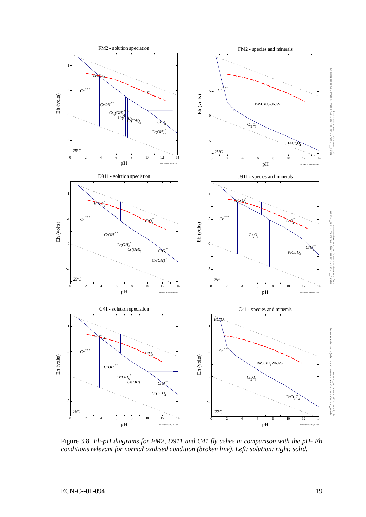

Figure 3.8 *Eh-pH diagrams for FM2, D911 and C41 fly ashes in comparison with the pH- Eh conditions relevant for normal oxidised condition (broken line). Left: solution; right: solid.*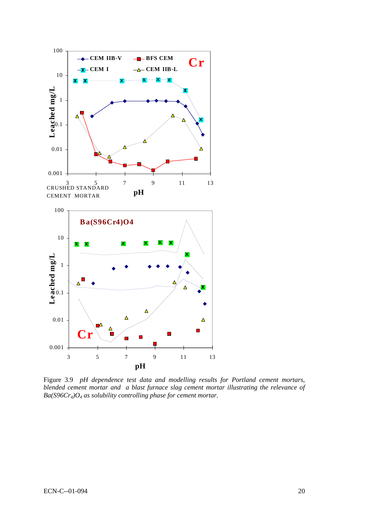

Figure 3.9 *pH dependence test data and modelling results for Portland cement mortars, blended cement mortar and a blast furnace slag cement mortar illustrating the relevance of Ba(S96Cr4)O4 as solubility controlling phase for cement mortar.*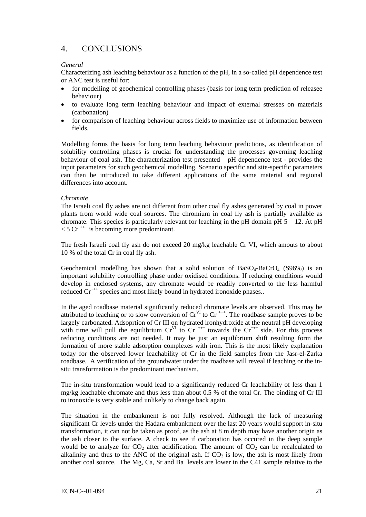# <span id="page-20-0"></span>4. CONCLUSIONS

#### *General*

Characterizing ash leaching behaviour as a function of the pH, in a so-called pH dependence test or ANC test is useful for:

- for modelling of geochemical controlling phases (basis for long term prediction of releasee behaviour)
- to evaluate long term leaching behaviour and impact of external stresses on materials (carbonation)
- for comparison of leaching behaviour across fields to maximize use of information between fields.

Modelling forms the basis for long term leaching behaviour predictions, as identification of solubility controlling phases is crucial for understanding the processes governing leaching behaviour of coal ash. The characterization test presented – pH dependence test - provides the input parameters for such geochemical modelling. Scenario specific and site-specific parameters can then be introduced to take different applications of the same material and regional differences into account.

#### *Chromate*

The Israeli coal fly ashes are not different from other coal fly ashes generated by coal in power plants from world wide coal sources. The chromium in coal fly ash is partially available as chromate. This species is particularly relevant for leaching in the pH domain pH  $5 - 12$ . At pH  $<$  5 Cr<sup>+++</sup> is becoming more predominant.

The fresh Israeli coal fly ash do not exceed 20 mg/kg leachable Cr VI, which amouts to about 10 % of the total Cr in coal fly ash.

Geochemical modelling has shown that a solid solution of  $BaSO<sub>4</sub>-BaCrO<sub>4</sub>$  (S96%) is an important solubility controlling phase under oxidised conditions. If reducing conditions would develop in enclosed systems, any chromate would be readily converted to the less harmful reduced  $Cr^{+++}$  species and most likely bound in hydrated ironoxide phases..

In the aged roadbase material significantly reduced chromate levels are observed. This may be attributed to leaching or to slow conversion of  $Cr<sup>VI</sup>$  to  $Cr<sup>+++</sup>$ . The roadbase sample proves to be largely carbonated. Adsoprtion of Cr III on hydrated ironhydroxide at the neutral pH developing with time will pull the equilibrium  $Cr^{VI}$  to  $Cr^{+++}$  towards the  $Cr^{+++}$  side. For this process reducing conditions are not needed. It may be just an equilibrium shift resulting form the formation of more stable adsorption complexes with iron. This is the most likely explanation today for the observed lower leachability of Cr in the field samples from the Jasr-el-Zarka roadbase. A verification of the groundwater under the roadbase will reveal if leaching or the insitu transformation is the predominant mechanism.

The in-situ transformation would lead to a significantly reduced Cr leachability of less than 1 mg/kg leachable chromate and thus less than about 0.5 % of the total Cr. The binding of Cr III to ironoxide is very stable and unlikely to change back again.

The situation in the embankment is not fully resolved. Although the lack of measuring significant Cr levels under the Hadara embankment over the last 20 years would support in-situ transformation, it can not be taken as proof, as the ash at 8 m depth may have another origin as the ash closer to the surface. A check to see if carbonation has occured in the deep sample would be to analyze for  $CO_2$  after acidification. The amount of  $CO_2$  can be recalculated to alkalinity and thus to the ANC of the original ash. If  $CO<sub>2</sub>$  is low, the ash is most likely from another coal source. The Mg, Ca, Sr and Ba levels are lower in the C41 sample relative to the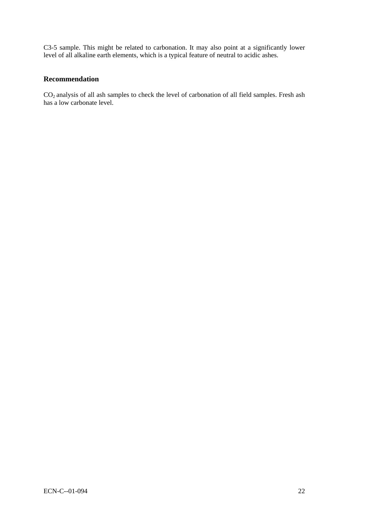C3-5 sample. This might be related to carbonation. It may also point at a significantly lower level of all alkaline earth elements, which is a typical feature of neutral to acidic ashes.

### **Recommendation**

CO2 analysis of all ash samples to check the level of carbonation of all field samples. Fresh ash has a low carbonate level.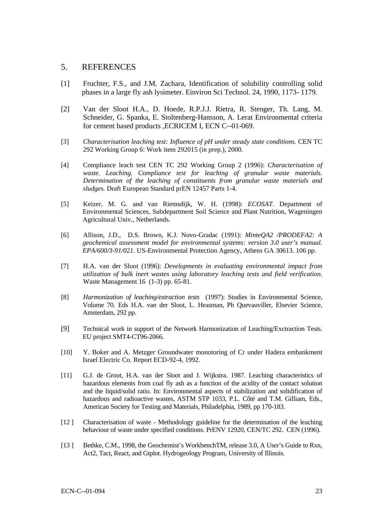#### <span id="page-22-0"></span>5. REFERENCES

- [1] Fruchter, F.S., and J.M. Zachara, Identification of solubility controlling solid phases in a large fly ash lysimeter. Einviron Sci Technol. 24, 1990, 1173- 1179.
- [2] Van der Sloot H.A., D. Hoede, R.P.J.J. Rietra, R. Stenger, Th. Lang, M. Schneider, G. Spanka, E. Stoltenberg-Hansson, A. Lerat Environmental criteria for cement based products ,ECRICEM I, ECN C--01-069.
- [3] *Characterisation leaching test: Influence of pH under steady state conditions.* CEN TC 292 Working Group 6: Work item 292015 (in prep.), 2000.
- [4] Compliance leach test CEN TC 292 Working Group 2 (1996): *Characterisation of waste. Leaching. Compliance test for leaching of granular waste materials. Determination of the leaching of constituents from granular waste materials and sludges.* Draft European Standard prEN 12457 Parts 1-4.
- [5] Keizer, M. G. and van Riemsdijk, W. H. (1998): *ECOSAT*. Department of Environmental Sciences, Subdepartment Soil Science and Plant Nutrition, Wageningen Agricultural Univ., Netherlands.
- [6] Allison, J.D., D.S. Brown, K.J. Novo-Gradac (1991): *MinteQA2 /PRODEFA2: A geochemical assessment model for environmental systems: version 3.0 user's manual. EPA/600/3-91/021.* US-Environmental Protection Agency, Athens GA 30613. 106 pp.
- [7] H.A. van der Sloot (1996): *Developments in evaluating environmental impact from utilization of bulk inert wastes using laboratory leaching tests and field verification.* Waste Management 16 (1-3) pp. 65-81.
- [8] *Harmonization of leaching/extraction tests* (1997): Studies in Environmental Science, Volume 70. Eds H.A. van der Sloot, L. Heasman, Ph Quevauviller, Elsevier Science, Amsterdam, 292 pp.
- [9] Technical work in support of the Network Harmonization of Leaching/Exctraction Tests. EU project SMT4-CT96-2066.
- [10] Y. Boker and A. Metzger Groundwater monotoring of Cr under Hadera embankment Israel Electric Co. Report ECD-92-4, 1992.
- [11] G.J. de Groot, H.A. van der Sloot and J. Wijkstra. 1987. Leaching characteristics of hazardous elements from coal fly ash as a function of the acidity of the contact solution and the liquid/solid ratio. In: Environmental aspects of stabilization and solidification of hazardous and radioactive wastes, ASTM STP 1033, P.L. Côté and T.M. Gilliam, Eds., American Society for Testing and Materials, Philadelphia, 1989, pp 170-183.
- [12 ] Characterisation of waste Methodology guideline for the determination of the leaching behaviour of waste under specified conditions. PrENV 12920, CEN/TC 292. CEN (1996).
- [13] Bethke, C.M., 1998, the Geochemist's WorkbenchTM, release 3.0, A User's Guide to Rxn, Act2, Tact, React, and Gtplot. Hydrogeology Program, University of Illinois.